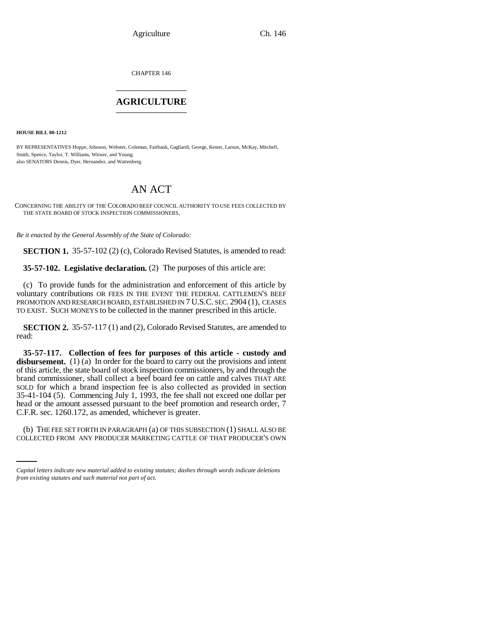Agriculture Ch. 146

CHAPTER 146 \_\_\_\_\_\_\_\_\_\_\_\_\_\_\_

## **AGRICULTURE** \_\_\_\_\_\_\_\_\_\_\_\_\_\_\_

**HOUSE BILL 00-1212** 

BY REPRESENTATIVES Hoppe, Johnson, Webster, Coleman, Fairbank, Gagliardi, George, Kester, Larson, McKay, Mitchell, Smith, Spence, Taylor, T. Williams, Witwer, and Young; also SENATORS Dennis, Dyer, Hernandez, and Wattenberg.

## AN ACT

CONCERNING THE ABILITY OF THE COLORADO BEEF COUNCIL AUTHORITY TO USE FEES COLLECTED BY THE STATE BOARD OF STOCK INSPECTION COMMISSIONERS.

*Be it enacted by the General Assembly of the State of Colorado:*

**SECTION 1.** 35-57-102 (2) (c), Colorado Revised Statutes, is amended to read:

**35-57-102. Legislative declaration.** (2) The purposes of this article are:

(c) To provide funds for the administration and enforcement of this article by voluntary contributions OR FEES IN THE EVENT THE FEDERAL CATTLEMEN'S BEEF PROMOTION AND RESEARCH BOARD, ESTABLISHED IN 7 U.S.C. SEC. 2904 (1), CEASES TO EXIST. SUCH MONEYS to be collected in the manner prescribed in this article.

**SECTION 2.** 35-57-117 (1) and (2), Colorado Revised Statutes, are amended to read:

**35-57-117. Collection of fees for purposes of this article - custody and** disbursement. (1) (a) In order for the board to carry out the provisions and intent of this article, the state board of stock inspection commissioners, by and through the brand commissioner, shall collect a beef board fee on cattle and calves THAT ARE SOLD for which a brand inspection fee is also collected as provided in section 35-41-104 (5). Commencing July 1, 1993, the fee shall not exceed one dollar per head or the amount assessed pursuant to the beef promotion and research order, 7 C.F.R. sec. 1260.172, as amended, whichever is greater.

(b) THE FEE SET FORTH IN PARAGRAPH (a) OF THIS SUBSECTION (1) SHALL ALSO BE COLLECTED FROM ANY PRODUCER MARKETING CATTLE OF THAT PRODUCER'S OWN

*Capital letters indicate new material added to existing statutes; dashes through words indicate deletions from existing statutes and such material not part of act.*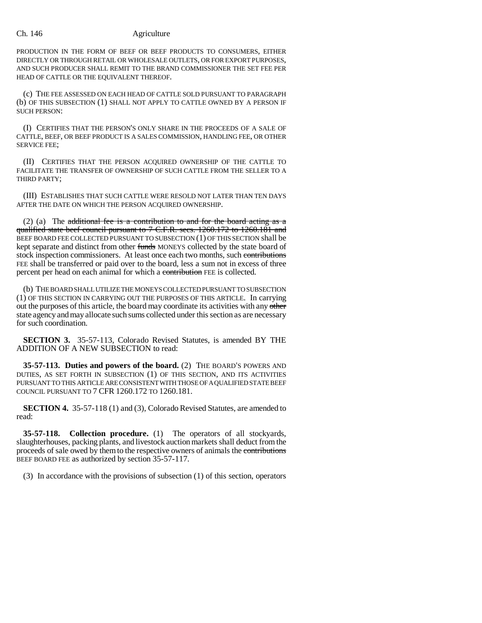## Ch. 146 Agriculture

PRODUCTION IN THE FORM OF BEEF OR BEEF PRODUCTS TO CONSUMERS, EITHER DIRECTLY OR THROUGH RETAIL OR WHOLESALE OUTLETS, OR FOR EXPORT PURPOSES, AND SUCH PRODUCER SHALL REMIT TO THE BRAND COMMISSIONER THE SET FEE PER HEAD OF CATTLE OR THE EQUIVALENT THEREOF.

(c) THE FEE ASSESSED ON EACH HEAD OF CATTLE SOLD PURSUANT TO PARAGRAPH (b) OF THIS SUBSECTION (1) SHALL NOT APPLY TO CATTLE OWNED BY A PERSON IF SUCH PERSON:

(I) CERTIFIES THAT THE PERSON'S ONLY SHARE IN THE PROCEEDS OF A SALE OF CATTLE, BEEF, OR BEEF PRODUCT IS A SALES COMMISSION, HANDLING FEE, OR OTHER SERVICE FEE;

(II) CERTIFIES THAT THE PERSON ACQUIRED OWNERSHIP OF THE CATTLE TO FACILITATE THE TRANSFER OF OWNERSHIP OF SUCH CATTLE FROM THE SELLER TO A THIRD PARTY;

(III) ESTABLISHES THAT SUCH CATTLE WERE RESOLD NOT LATER THAN TEN DAYS AFTER THE DATE ON WHICH THE PERSON ACQUIRED OWNERSHIP.

(2) (a) The additional fee is a contribution to and for the board acting as a qualified state beef council pursuant to 7 C.F.R. secs. 1260.172 to 1260.181 and BEEF BOARD FEE COLLECTED PURSUANT TO SUBSECTION (1) OF THIS SECTION shall be kept separate and distinct from other funds MONEYS collected by the state board of stock inspection commissioners. At least once each two months, such contributions FEE shall be transferred or paid over to the board, less a sum not in excess of three percent per head on each animal for which a contribution FEE is collected.

(b) THE BOARD SHALL UTILIZE THE MONEYS COLLECTED PURSUANT TO SUBSECTION (1) OF THIS SECTION IN CARRYING OUT THE PURPOSES OF THIS ARTICLE. In carrying out the purposes of this article, the board may coordinate its activities with any other state agency and may allocate such sums collected under this section as are necessary for such coordination.

**SECTION 3.** 35-57-113, Colorado Revised Statutes, is amended BY THE ADDITION OF A NEW SUBSECTION to read:

**35-57-113. Duties and powers of the board.** (2) THE BOARD'S POWERS AND DUTIES, AS SET FORTH IN SUBSECTION (1) OF THIS SECTION, AND ITS ACTIVITIES PURSUANT TO THIS ARTICLE ARE CONSISTENT WITH THOSE OF A QUALIFIED STATE BEEF COUNCIL PURSUANT TO 7 CFR 1260.172 TO 1260.181.

**SECTION 4.** 35-57-118 (1) and (3), Colorado Revised Statutes, are amended to read:

**35-57-118. Collection procedure.** (1) The operators of all stockyards, slaughterhouses, packing plants, and livestock auction markets shall deduct from the proceeds of sale owed by them to the respective owners of animals the contributions BEEF BOARD FEE as authorized by section 35-57-117.

(3) In accordance with the provisions of subsection (1) of this section, operators